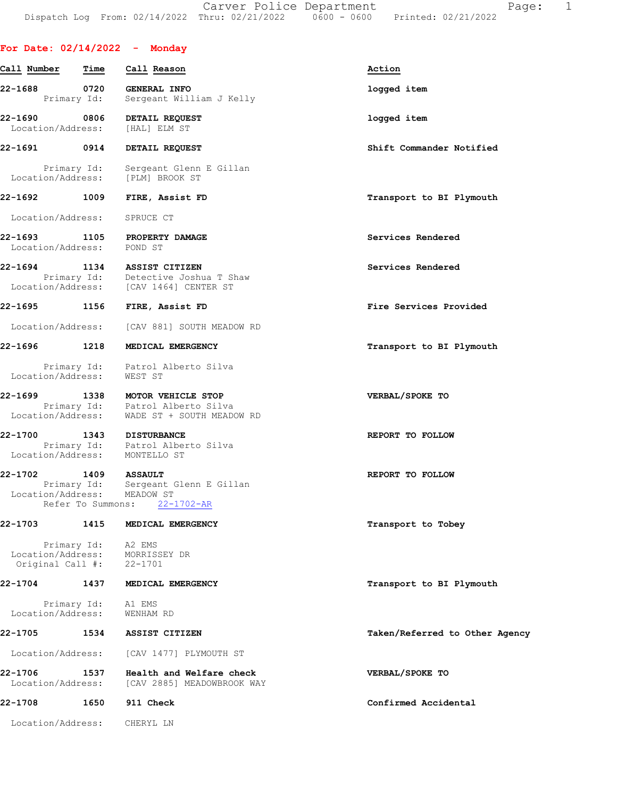Carver Police Department Fage: 1 Dispatch Log From: 02/14/2022 Thru: 02/21/2022 0600 - 0600 Printed: 02/21/2022

# For Date: 02/14/2022 - Monday

| Call Number                                         | Time                | Call Reason                                                             | Action                         |
|-----------------------------------------------------|---------------------|-------------------------------------------------------------------------|--------------------------------|
| 22-1688                                             | 0720<br>Primary Id: | <b>GENERAL INFO</b><br>Sergeant William J Kelly                         | logged item                    |
| 22-1690<br>Location/Address:                        | 0806                | DETAIL REQUEST<br>[HAL] ELM ST                                          | logged item                    |
| 22-1691                                             | 0914                | DETAIL REQUEST                                                          | Shift Commander Notified       |
| Primary Id:<br>Location/Address:                    |                     | Sergeant Glenn E Gillan<br>[PLM] BROOK ST                               |                                |
| 22-1692 1009                                        |                     | FIRE, Assist FD                                                         | Transport to BI Plymouth       |
| Location/Address:                                   |                     | SPRUCE CT                                                               |                                |
| 22-1693<br>Location/Address:                        | 1105                | PROPERTY DAMAGE<br>POND ST                                              | Services Rendered              |
| 22-1694<br>Primary Id:<br>Location/Address:         | 1134                | ASSIST CITIZEN<br>Detective Joshua T Shaw<br>[CAV 1464] CENTER ST       | Services Rendered              |
| 22-1695 1156                                        |                     | FIRE, Assist FD                                                         | Fire Services Provided         |
| Location/Address:                                   |                     | [CAV 881] SOUTH MEADOW RD                                               |                                |
| $22 - 1696$                                         | 1218                | MEDICAL EMERGENCY                                                       | Transport to BI Plymouth       |
| Location/Address:                                   |                     | Primary Id: Patrol Alberto Silva<br>WEST ST                             |                                |
| 22-1699<br>Location/Address:                        | 1338<br>Primary Id: | MOTOR VEHICLE STOP<br>Patrol Alberto Silva<br>WADE ST + SOUTH MEADOW RD | VERBAL/SPOKE TO                |
| 22-1700<br>Location/Address:                        |                     | 1343 DISTURBANCE<br>Primary Id: Patrol Alberto Silva<br>MONTELLO ST     | REPORT TO FOLLOW               |
| 22-1702 1409 ASSAULT<br>Location/Address: MEADOW ST | Refer To Summons:   | Primary Id: Sergeant Glenn E Gillan<br>$22 - 1702 - AR$                 | REPORT TO FOLLOW               |
| 22-1703                                             | 1415                | MEDICAL EMERGENCY                                                       | Transport to Tobey             |
| Location/Address:<br>Original Call #:               | Primary Id:         | A2 EMS<br>MORRISSEY DR<br>$22 - 1701$                                   |                                |
| $22 - 1704$                                         | 1437                | MEDICAL EMERGENCY                                                       | Transport to BI Plymouth       |
| Primary Id:<br>Location/Address:                    |                     | A1 EMS<br>WENHAM RD                                                     |                                |
| 22-1705                                             | 1534                | ASSIST CITIZEN                                                          | Taken/Referred to Other Agency |
| Location/Address:                                   |                     | [CAV 1477] PLYMOUTH ST                                                  |                                |
| 22-1706<br>Location/Address:                        | 1537                | Health and Welfare check<br>[CAV 2885] MEADOWBROOK WAY                  | VERBAL/SPOKE TO                |
| 22-1708                                             | 1650                | 911 Check                                                               | Confirmed Accidental           |
| Location/Address:                                   |                     | CHERYL LN                                                               |                                |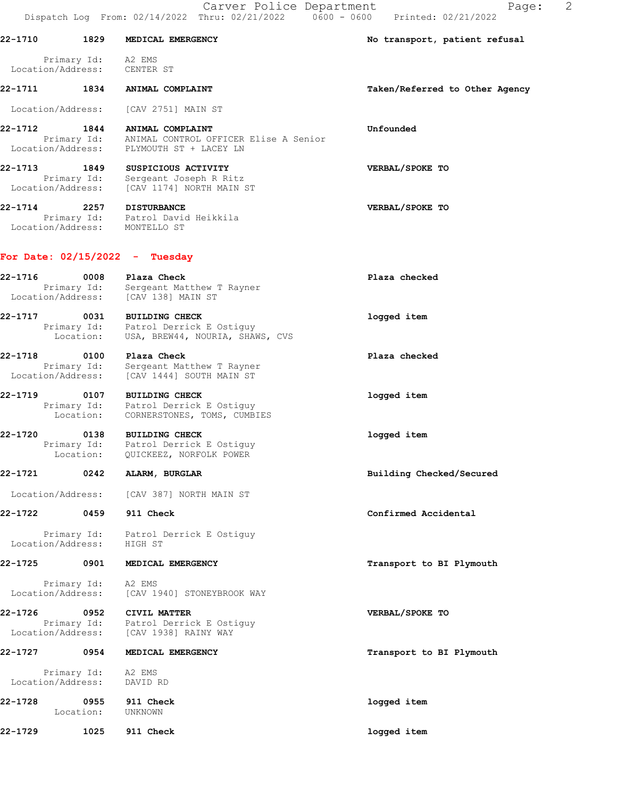Carver Police Department Fage: 2

Dispatch Log From: 02/14/2022 Thru: 02/21/2022 0600 - 0600 Printed: 02/21/2022 22-1710 1829 MEDICAL EMERGENCY No transport, patient refusal Primary Id: A2 EMS Location/Address: CENTER ST 22-1711 1834 ANIMAL COMPLAINT Taken/Referred to Other Agency Location/Address: [CAV 2751] MAIN ST 22-1712 1844 ANIMAL COMPLAINT Unfounded Primary Id: ANIMAL CONTROL OFFICER Elise A Senior Location/Address: PLYMOUTH ST + LACEY LN 22-1713 1849 SUSPICIOUS ACTIVITY VERBAL/SPOKE TO Primary Id: Sergeant Joseph R Ritz Location/Address: [CAV 1174] NORTH MAIN ST 22-1714 2257 DISTURBANCE VERBAL/SPOKE TO Primary Id: Patrol David Heikkila Location/Address: MONTELLO ST For Date: 02/15/2022 - Tuesday 22-1716 0008 Plaza Check Plaza checked Primary Id: Sergeant Matthew T Rayner Location/Address: [CAV 138] MAIN ST 22-1717 0031 BUILDING CHECK logged item Primary Id: Patrol Derrick E Ostiguy Location: USA, BREW44, NOURIA, SHAWS, CVS 22-1718 0100 Plaza Check Plaza checked Primary Id: Sergeant Matthew T Rayner Location/Address: [CAV 1444] SOUTH MAIN ST 22-1719 0107 BUILDING CHECK logged item Primary Id: Patrol Derrick E Ostiguy Location: CORNERSTONES, TOMS, CUMBIES 22-1720 0138 BUILDING CHECK logged item Primary Id: Patrol Derrick E Ostiguy Location: QUICKEEZ, NORFOLK POWER 22-1721 0242 ALARM, BURGLAR Building Checked/Secured Location/Address: [CAV 387] NORTH MAIN ST 22-1722 0459 911 Check Confirmed Accidental Primary Id: Patrol Derrick E Ostiguy Location/Address: HIGH ST 22-1725 0901 MEDICAL EMERGENCY **120 CONTACT 120 PERITM** Transport to BI Plymouth Primary Id: A2 EMS Location/Address: [CAV 1940] STONEYBROOK WAY 22-1726 0952 CIVIL MATTER VERBAL/SPOKE TO Primary Id: Patrol Derrick E Ostiguy Location/Address: [CAV 1938] RAINY WAY 22-1727 0954 MEDICAL EMERGENCY Transport to BI Plymouth Primary Id: A2 EMS Location/Address: DAVID RD

22-1728 0955 911 Check logged item Location: UNKNOWN 22-1729 1025 911 Check logged item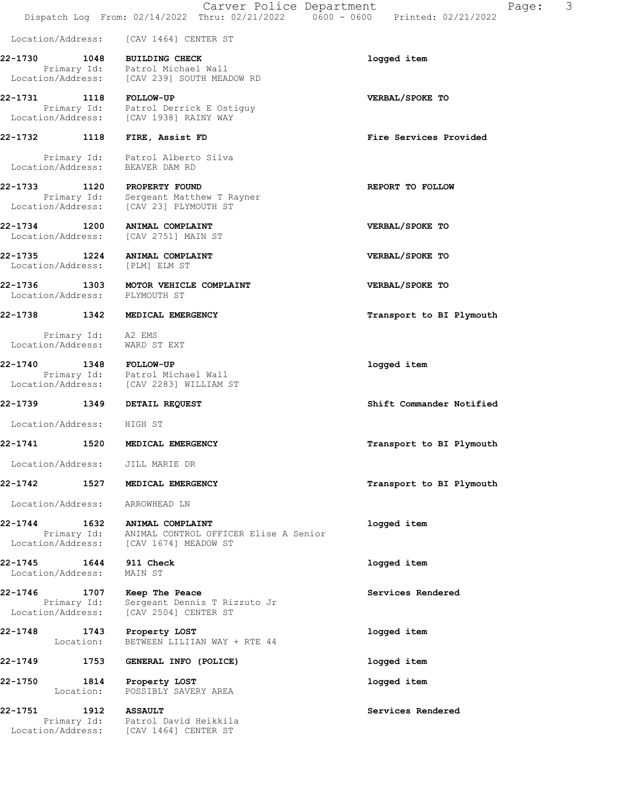|                                   |                                  | Carver Police Department<br>Dispatch Log From: 02/14/2022 Thru: 02/21/2022 0600 - 0600 Printed: 02/21/2022 | 3<br>Page:               |
|-----------------------------------|----------------------------------|------------------------------------------------------------------------------------------------------------|--------------------------|
| Location/Address:                 |                                  | [CAV 1464] CENTER ST                                                                                       |                          |
| 22-1730                           | 1048                             | <b>BUILDING CHECK</b>                                                                                      | logged item              |
|                                   |                                  | Primary Id: Patrol Michael Wall<br>Location/Address: [CAV 239] SOUTH MEADOW RD                             |                          |
| 22-1731                           | 1118                             | <b>FOLLOW-UP</b><br>Primary Id: Patrol Derrick E Ostiguy<br>Location/Address: [CAV 1938] RAINY WAY         | VERBAL/SPOKE TO          |
| 22-1732 1118                      |                                  | FIRE, Assist FD                                                                                            | Fire Services Provided   |
| Location/Address:                 |                                  | Primary Id: Patrol Alberto Silva<br>BEAVER DAM RD                                                          |                          |
|                                   |                                  | 22-1733 1120 PROPERTY FOUND                                                                                | REPORT TO FOLLOW         |
|                                   | Primary Id:<br>Location/Address: | Sergeant Matthew T Rayner<br>[CAV 23] PLYMOUTH ST                                                          |                          |
| 22-1734<br>Location/Address:      | 1200                             | ANIMAL COMPLAINT<br>[CAV 2751] MAIN ST                                                                     | VERBAL/SPOKE TO          |
| 22-1735 1224<br>Location/Address: |                                  | ANIMAL COMPLAINT<br>[PLM] ELM ST                                                                           | VERBAL/SPOKE TO          |
| 22-1736<br>Location/Address:      | 1303                             | MOTOR VEHICLE COMPLAINT<br>PLYMOUTH ST                                                                     | VERBAL/SPOKE TO          |
| 22-1738                           | 1342                             | MEDICAL EMERGENCY                                                                                          | Transport to BI Plymouth |
| Location/Address:                 | Primary Id:                      | A2 EMS<br>WARD ST EXT                                                                                      |                          |
| 22-1740                           |                                  | 1348 FOLLOW-UP<br>Primary Id: Patrol Michael Wall<br>Location/Address: [CAV 2283] WILLIAM ST               | logged item              |
| 22-1739                           | 1349                             | DETAIL REQUEST                                                                                             | Shift Commander Notified |
| Location/Address: HIGH ST         |                                  |                                                                                                            |                          |
| 22-1741                           | 1520                             | <b>MEDICAL EMERGENCY</b>                                                                                   | Transport to BI Plymouth |
| Location/Address:                 |                                  | JILL MARIE DR                                                                                              |                          |
| 22-1742 1527                      |                                  | MEDICAL EMERGENCY                                                                                          | Transport to BI Plymouth |
| Location/Address:                 |                                  | ARROWHEAD LN                                                                                               |                          |
| 22-1744                           | 1632<br>Primary Id:              | ANIMAL COMPLAINT<br>ANIMAL CONTROL OFFICER Elise A Senior<br>Location/Address: [CAV 1674] MEADOW ST        | logged item              |
| 22-1745<br>Location/Address:      | 1644                             | 911 Check<br>MAIN ST                                                                                       | logged item              |
| 22-1746                           | 1707<br>Primary Id:              | Keep The Peace<br>Sergeant Dennis T Rizzuto Jr                                                             | Services Rendered        |
|                                   |                                  | Location/Address: [CAV 2504] CENTER ST                                                                     |                          |

22-1748 1743 Property LOST logged item Location: BETWEEN LILIIAN WAY + RTE 44 22-1749 1753 GENERAL INFO (POLICE) logged item

22-1750 1814 Property LOST logged item Location: POSSIBLY SAVERY AREA

22-1751 1912 ASSAULT Services Rendered Primary Id: Patrol David Heikkila Location/Address: [CAV 1464] CENTER ST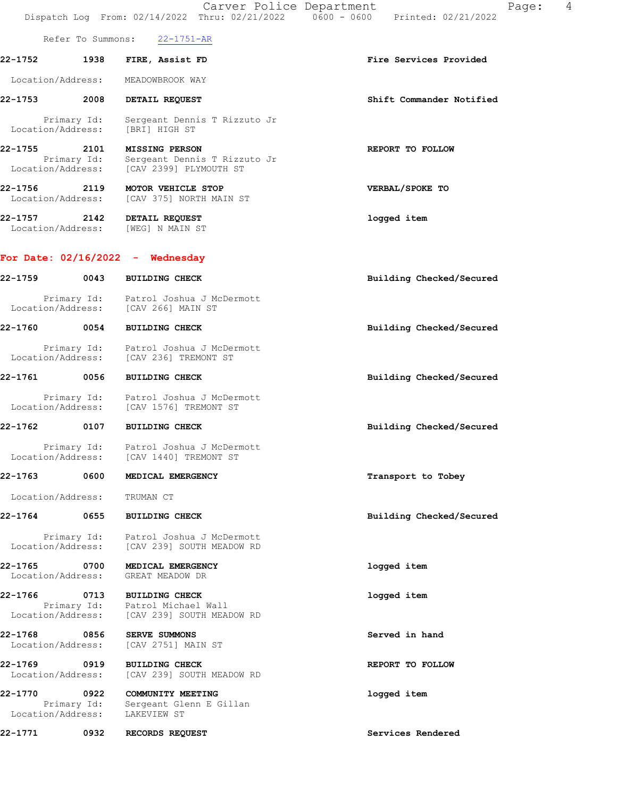|                                   |                   | Carver Police Department                                                              | 4<br>Page:<br>Dispatch Log From: 02/14/2022 Thru: 02/21/2022   0600 - 0600   Printed: 02/21/2022 |
|-----------------------------------|-------------------|---------------------------------------------------------------------------------------|--------------------------------------------------------------------------------------------------|
|                                   | Refer To Summons: | $22 - 1751 - AR$                                                                      |                                                                                                  |
| 22-1752                           | 1938              | FIRE, Assist FD                                                                       | Fire Services Provided                                                                           |
| Location/Address:                 |                   | MEADOWBROOK WAY                                                                       |                                                                                                  |
| 22-1753 2008                      |                   | DETAIL REQUEST                                                                        | Shift Commander Notified                                                                         |
| Location/Address:                 | Primary Id:       | Sergeant Dennis T Rizzuto Jr<br>[BRI] HIGH ST                                         |                                                                                                  |
| 22-1755 2101<br>Location/Address: | Primary Id:       | <b>MISSING PERSON</b><br>Sergeant Dennis T Rizzuto Jr<br>[CAV 2399] PLYMOUTH ST       | REPORT TO FOLLOW                                                                                 |
| 22-1756 2119<br>Location/Address: |                   | MOTOR VEHICLE STOP<br>[CAV 375] NORTH MAIN ST                                         | VERBAL/SPOKE TO                                                                                  |
| 22-1757 2142                      |                   | DETAIL REQUEST<br>Location/Address: [WEG] N MAIN ST                                   | logged item                                                                                      |
|                                   |                   | For Date: $02/16/2022 -$ Wednesday                                                    |                                                                                                  |
|                                   | 0043              | <b>BUILDING CHECK</b>                                                                 | Building Checked/Secured                                                                         |
|                                   |                   | Primary Id: Patrol Joshua J McDermott<br>Location/Address: [CAV 266] MAIN ST          |                                                                                                  |
| 22-1760                           | 0054              | <b>BUILDING CHECK</b>                                                                 | Building Checked/Secured                                                                         |
|                                   |                   | Primary Id: Patrol Joshua J McDermott<br>Location/Address: [CAV 236] TREMONT ST       |                                                                                                  |
| 22-1761 0056                      |                   | <b>BUILDING CHECK</b>                                                                 | Building Checked/Secured                                                                         |
|                                   |                   | Primary Id: Patrol Joshua J McDermott<br>Location/Address: [CAV 1576] TREMONT ST      |                                                                                                  |
| 22-1762                           | 0107              | <b>BUILDING CHECK</b>                                                                 | Building Checked/Secured                                                                         |
|                                   | Primary Id:       | Patrol Joshua J McDermott<br>Location/Address: [CAV 1440] TREMONT ST                  |                                                                                                  |
| 22-1763                           | 0600              | MEDICAL EMERGENCY                                                                     | Transport to Tobey                                                                               |
| Location/Address:                 |                   | TRUMAN CT                                                                             |                                                                                                  |
| 22-1764                           | 0655              | <b>BUILDING CHECK</b>                                                                 | Building Checked/Secured                                                                         |
|                                   |                   | Primary Id: Patrol Joshua J McDermott<br>Location/Address: [CAV 239] SOUTH MEADOW RD  |                                                                                                  |
| 22-1765 0700<br>Location/Address: |                   | MEDICAL EMERGENCY<br>GREAT MEADOW DR                                                  | logged item                                                                                      |
| 22-1766<br>Location/Address:      | 0713              | <b>BUILDING CHECK</b><br>Primary Id: Patrol Michael Wall<br>[CAV 239] SOUTH MEADOW RD | logged item                                                                                      |
| 22-1768 0856<br>Location/Address: |                   | <b>SERVE SUMMONS</b><br>[CAV 2751] MAIN ST                                            | Served in hand                                                                                   |
| 22-1769<br>Location/Address:      | 0919              | <b>BUILDING CHECK</b><br>[CAV 239] SOUTH MEADOW RD                                    | REPORT TO FOLLOW                                                                                 |

22-1770 0922 COMMUNITY MEETING logged item Primary Id: Sergeant Glenn E Gillan Location/Address: LAKEVIEW ST

22-1771 0932 RECORDS REQUEST Services Rendered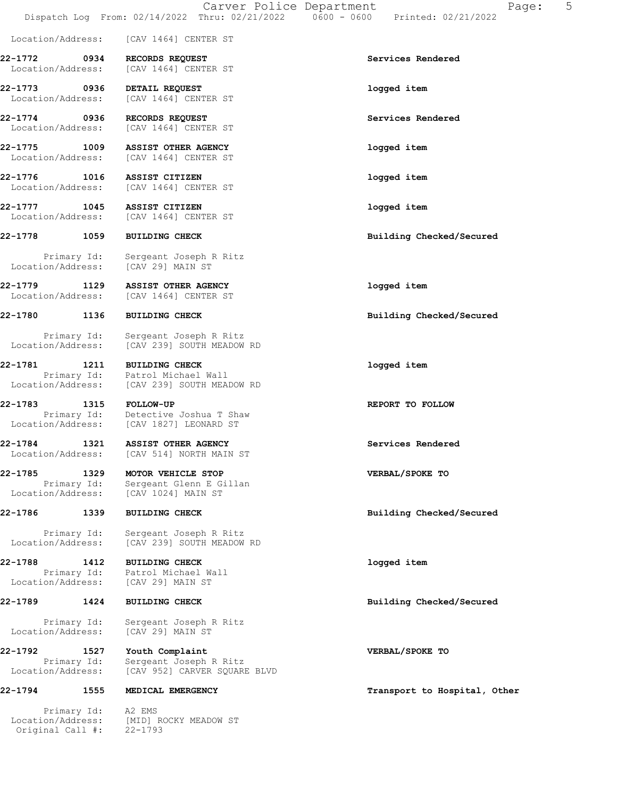Location/Address: [CAV 1464] CENTER ST

22-1772 0934 RECORDS REQUEST Services Rendered Location/Address: [CAV 1464] CENTER ST

22-1773 0936 DETAIL REQUEST logged item Location/Address: [CAV 1464] CENTER ST

22-1774 0936 RECORDS REQUEST Services Rendered Location/Address: [CAV 1464] CENTER ST

22-1775 1009 ASSIST OTHER AGENCY logged item Location/Address: [CAV 1464] CENTER ST

22-1776 1016 ASSIST CITIZEN logged item Location/Address: [CAV 1464] CENTER ST

22-1777 1045 ASSIST CITIZEN logged item Location/Address: [CAV 1464] CENTER ST

Primary Id: Sergeant Joseph R Ritz<br>ion/Address: [CAV 29] MAIN ST Location/Address:

22-1779 1129 ASSIST OTHER AGENCY logged item Location/Address: [CAV 1464] CENTER ST

 Primary Id: Sergeant Joseph R Ritz Location/Address: [CAV 239] SOUTH MEADOW RD

22-1781 1211 BUILDING CHECK 10 22-1781 1099ed item Primary Id: Patrol Michael Wall Location/Address: [CAV 239] SOUTH MEADOW RD

22-1783 1315 FOLLOW-UP REPORT TO FOLLOW Primary Id: Detective Joshua T Shaw Location/Address: [CAV 1827] LEONARD ST

22-1784 1321 ASSIST OTHER AGENCY Services Rendered Location/Address: [CAV 514] NORTH MAIN ST

22-1785 1329 MOTOR VEHICLE STOP VERBAL/SPOKE TO Primary Id: Sergeant Glenn E Gillan Location/Address: [CAV 1024] MAIN ST

 Primary Id: Sergeant Joseph R Ritz Location/Address: [CAV 239] SOUTH MEADOW RD

22-1788 1412 BUILDING CHECK logged item Primary Id: Patrol Michael Wall Location/Address: [CAV 29] MAIN ST

 Primary Id: Sergeant Joseph R Ritz Location/Address: [CAV 29] MAIN ST

22-1792 1527 Youth Complaint VERBAL/SPOKE TO Primary Id: Sergeant Joseph R Ritz Location/Address: [CAV 952] CARVER SQUARE BLVD

 Primary Id: A2 EMS Location/Address: [MID] ROCKY MEADOW ST Original Call #: 22-1793

22-1778 1059 BUILDING CHECK Building Checked/Secured

22-1780 1136 BUILDING CHECK Building Checked/Secured

22-1786 1339 BUILDING CHECK Building Checked/Secured

22-1789 1424 BUILDING CHECK Building Checked/Secured

22-1794 1555 MEDICAL EMERGENCY Transport to Hospital, Other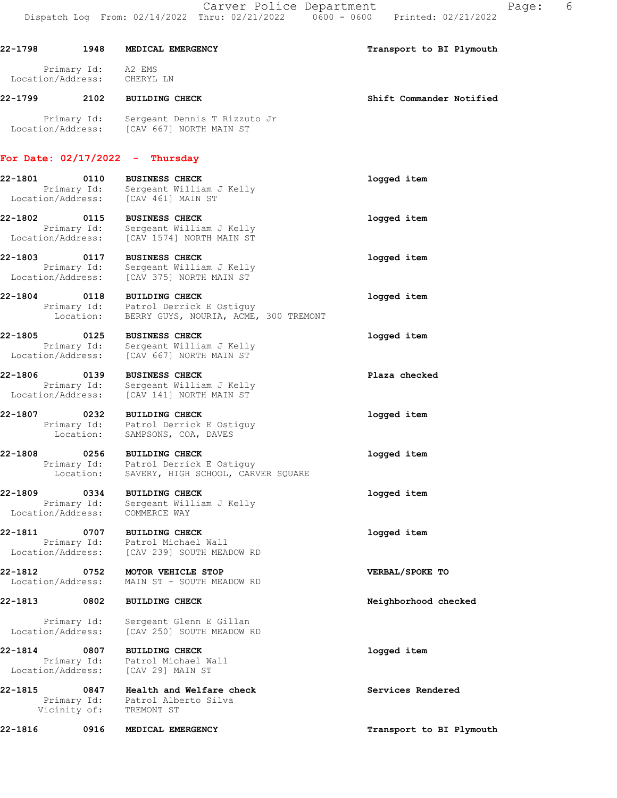| 22-1798           | 1948               | MEDICAL EMERGENCY | Transport to BI Plymouth |
|-------------------|--------------------|-------------------|--------------------------|
| Location/Address: | Primary Id: A2 EMS | CHERYL LN         |                          |

22-1799 2102 BUILDING CHECK Shift Commander Notified

 Primary Id: Sergeant Dennis T Rizzuto Jr Location/Address: [CAV 667] NORTH MAIN ST

### For Date: 02/17/2022 - Thursday

22-1801 0110 BUSINESS CHECK logged item Primary Id: Sergeant William J Kelly Location/Address: [CAV 461] MAIN ST

22-1802 0115 BUSINESS CHECK logged item Primary Id: Sergeant William J Kelly Location/Address: [CAV 1574] NORTH MAIN ST

22-1803 0117 BUSINESS CHECK logged item Primary Id: Sergeant William J Kelly Location/Address: [CAV 375] NORTH MAIN ST

22-1804 0118 BUILDING CHECK logged item Primary Id: Patrol Derrick E Ostiguy Location: BERRY GUYS, NOURIA, ACME, 300 TREMONT

22-1805 0125 BUSINESS CHECK **120 CHECK** 22-1805 10gged item Primary Id: Sergeant William J Kelly Location/Address: [CAV 667] NORTH MAIN ST

22-1806 0139 BUSINESS CHECK Plaza checked Primary Id: Sergeant William J Kelly Location/Address: [CAV 141] NORTH MAIN ST

22-1807 0232 BUILDING CHECK logged item Primary Id: Patrol Derrick E Ostiguy Location: SAMPSONS, COA, DAVES

22-1808 0256 BUILDING CHECK logged item Primary Id: Patrol Derrick E Ostiguy Location: SAVERY, HIGH SCHOOL, CARVER SQUARE

22-1809 0334 BUILDING CHECK logged item Primary Id: Sergeant William J Kelly Location/Address: COMMERCE WAY

22-1811 0707 BUILDING CHECK logged item Primary Id: Patrol Michael Wall Location/Address: [CAV 239] SOUTH MEADOW RD

22-1812 0752 MOTOR VEHICLE STOP VERBAL/SPOKE TO Location/Address: MAIN ST + SOUTH MEADOW RD

### 22-1813 0802 BUILDING CHECK Neighborhood checked

Primary Id: Sergeant Glenn E Gillan<br>Location/Address: [CAV 250] SOUTH MEADOW P [CAV 250] SOUTH MEADOW RD

22-1814 0807 BUILDING CHECK logged item Primary Id: Patrol Michael Wall<br>ion/Address: [CAV 29] MAIN ST Location/Address:

22-1815 0847 Health and Welfare check Services Rendered Primary Id: Patrol Alberto Silva Vicinity of: TREMONT ST

22-1816 0916 MEDICAL EMERGENCY Transport to BI Plymouth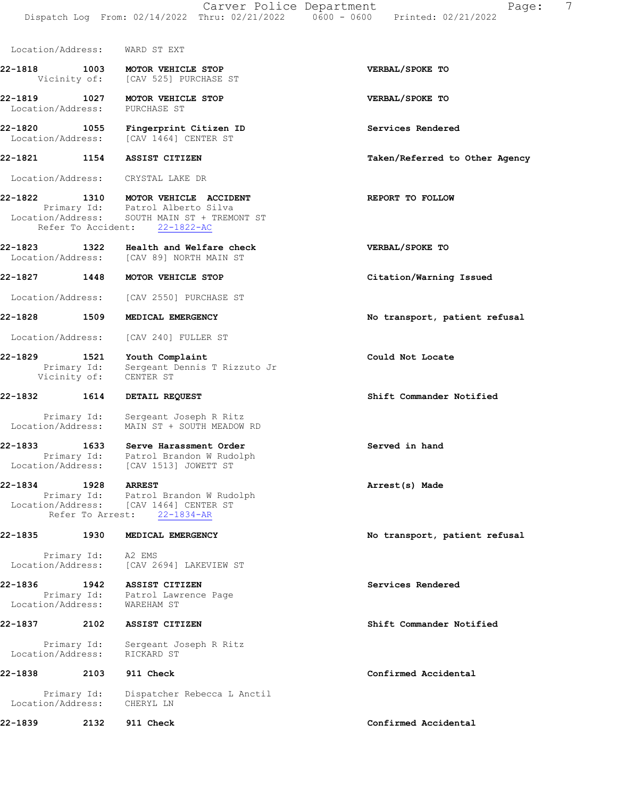| Location/Address:                 |                                                    | WARD ST EXT                                                                                                                                      |                                |
|-----------------------------------|----------------------------------------------------|--------------------------------------------------------------------------------------------------------------------------------------------------|--------------------------------|
| 22-1818                           |                                                    | 1003 MOTOR VEHICLE STOP<br>Vicinity of: [CAV 525] PURCHASE ST                                                                                    | VERBAL/SPOKE TO                |
| 22-1819 1027<br>Location/Address: |                                                    | MOTOR VEHICLE STOP<br>PURCHASE ST                                                                                                                | VERBAL/SPOKE TO                |
|                                   |                                                    | 22-1820 1055 Fingerprint Citizen ID<br>Location/Address: [CAV 1464] CENTER ST                                                                    | Services Rendered              |
|                                   |                                                    | 22-1821 1154 ASSIST CITIZEN                                                                                                                      | Taken/Referred to Other Agency |
|                                   |                                                    | Location/Address: CRYSTAL LAKE DR                                                                                                                |                                |
| 22-1822                           |                                                    | 1310 MOTOR VEHICLE ACCIDENT<br>Primary Id: Patrol Alberto Silva<br>Location/Address: SOUTH MAIN ST + TREMONT ST<br>Refer To Accident: 22-1822-AC | REPORT TO FOLLOW               |
| 22-1823 1322                      |                                                    | Health and Welfare check<br>Location/Address: [CAV 89] NORTH MAIN ST                                                                             | VERBAL/SPOKE TO                |
| 22-1827 1448                      |                                                    | MOTOR VEHICLE STOP                                                                                                                               | Citation/Warning Issued        |
|                                   |                                                    | Location/Address: [CAV 2550] PURCHASE ST                                                                                                         |                                |
| $22 - 1828$                       | 1509                                               | MEDICAL EMERGENCY                                                                                                                                | No transport, patient refusal  |
|                                   |                                                    | Location/Address: [CAV 240] FULLER ST                                                                                                            |                                |
| 22-1829                           | $\frac{1521}{P \text{rimary Id:}}$<br>Vicinity of: | Youth Complaint<br>Sergeant Dennis T Rizzuto Jr<br>CENTER ST                                                                                     | Could Not Locate               |
| 22-1832                           | 1614                                               | DETAIL REQUEST                                                                                                                                   | Shift Commander Notified       |
| Location/Address:                 | Primary Id:                                        | Sergeant Joseph R Ritz<br>MAIN ST + SOUTH MEADOW RD                                                                                              |                                |
|                                   |                                                    | 22-1833 1633 Serve Harassment Order<br>Primary Id: Patrol Brandon W Rudolph<br>Location/Address: [CAV 1513] JOWETT ST                            | Served in hand                 |
| 22-1834                           | 1928                                               | <b>ARREST</b><br>Primary Id: Patrol Brandon W Rudolph<br>Location/Address: [CAV 1464] CENTER ST<br>Refer To Arrest: 22-1834-AR                   | Arrest(s) Made                 |
| 22-1835                           | 1930                                               | MEDICAL EMERGENCY                                                                                                                                | No transport, patient refusal  |
|                                   | Primary Id:                                        | A2 EMS<br>Location/Address: [CAV 2694] LAKEVIEW ST                                                                                               |                                |
| 22-1836                           |                                                    | 1942 ASSIST CITIZEN<br>Primary Id: Patrol Lawrence Page<br>Location/Address: WAREHAM ST                                                          | Services Rendered              |
| 22-1837                           | 2102                                               | ASSIST CITIZEN                                                                                                                                   | Shift Commander Notified       |
| Location/Address:                 | Primary Id:                                        | Sergeant Joseph R Ritz<br>RICKARD ST                                                                                                             |                                |
| 22-1838                           | 2103                                               | 911 Check                                                                                                                                        | Confirmed Accidental           |
|                                   | Primary Id:                                        | Dispatcher Rebecca L Anctil                                                                                                                      |                                |

22-1839 2132 911 Check Confirmed Accidental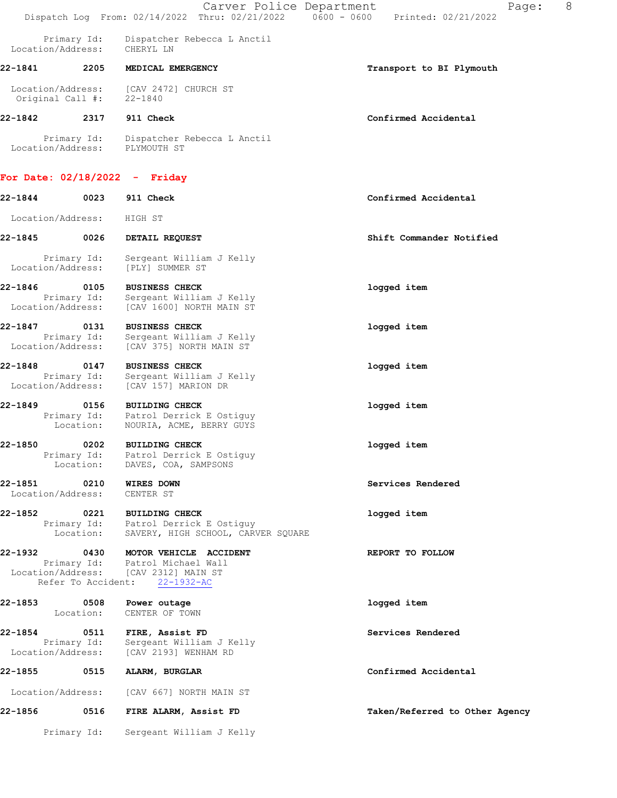Primary Id: Dispatcher Rebecca L Anctil Location/Address: CHERYL LN

# 22-1841 2205 MEDICAL EMERGENCY **1200 CONTACT 1200 MEDICAL** EMERGENCY

 Location/Address: [CAV 2472] CHURCH ST Original Call #: 22-1840

# 22-1842 2317 911 Check Confirmed Accidental

 Primary Id: Dispatcher Rebecca L Anctil Location/Address: PLYMOUTH ST

## For Date: 02/18/2022 - Friday

22-1844 0023 911 Check Confirmed Accidental Location/Address: HIGH ST 22-1845 0026 DETAIL REQUEST Shift Commander Notified Primary Id: Sergeant William J Kelly Location/Address: [PLY] SUMMER ST 22-1846 0105 BUSINESS CHECK 1ogged item<br>Primary Id: Sergeant William J Kelly<br>Location/Address: [CAV 1600] NORTH MAIN ST Sergeant William J Kelly [CAV 1600] NORTH MAIN ST 22-1847 0131 BUSINESS CHECK logged item Primary Id: Sergeant William J Kelly Location/Address: [CAV 375] NORTH MAIN ST 22-1848 0147 BUSINESS CHECK logged item Primary Id: Sergeant William J Kelly Location/Address: [CAV 157] MARION DR 22-1849 0156 BUILDING CHECK logged item Primary Id: Patrol Derrick E Ostiguy Location: NOURIA, ACME, BERRY GUYS 22-1850 0202 BUILDING CHECK logged item Primary Id: Patrol Derrick E Ostiguy Location: DAVES, COA, SAMPSONS 22-1851 0210 WIRES DOWN Services Rendered Location/Address: CENTER ST 22-1852 0221 BUILDING CHECK logged item Primary Id: Patrol Derrick E Ostiguy Location: SAVERY, HIGH SCHOOL, CARVER SQUARE 22-1932 0430 MOTOR VEHICLE ACCIDENT REPORT TO FOLLOW Primary Id: Patrol Michael Wall Location/Address: [CAV 2312] MAIN ST Refer To Accident: 22-1932-AC 22-1853 0508 Power outage logged item Location: CENTER OF TOWN 22-1854 0511 FIRE, Assist FD Services Rendered Primary Id: Sergeant William J Kelly Location/Address: [CAV 2193] WENHAM RD 22-1855 0515 ALARM, BURGLAR Confirmed Accidental Location/Address: [CAV 667] NORTH MAIN ST 22-1856 0516 FIRE ALARM, Assist FD Taken/Referred to Other Agency Primary Id: Sergeant William J Kelly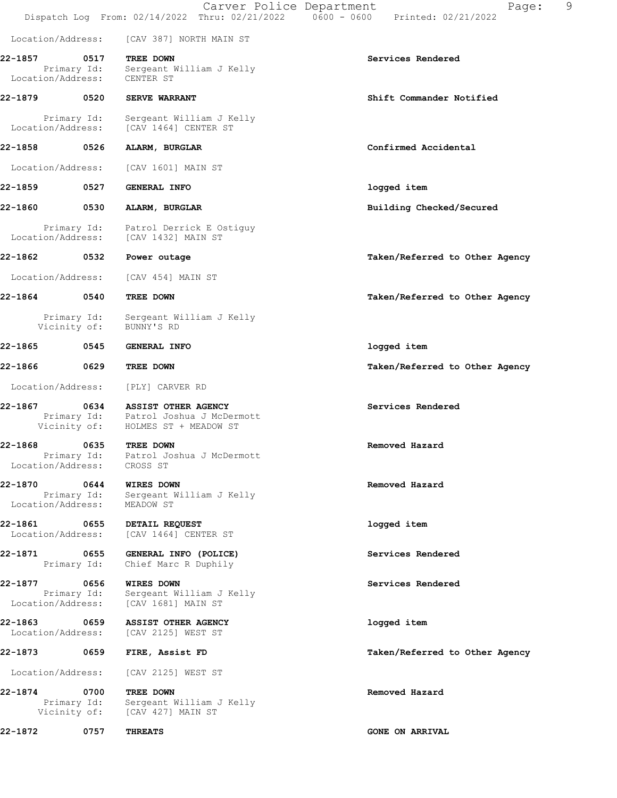|                                   |                             | Carver Police Department                                                                     | 9<br>Page:<br>Dispatch Log From: 02/14/2022 Thru: 02/21/2022   0600 - 0600   Printed: 02/21/2022 |
|-----------------------------------|-----------------------------|----------------------------------------------------------------------------------------------|--------------------------------------------------------------------------------------------------|
| Location/Address:                 |                             | [CAV 387] NORTH MAIN ST                                                                      |                                                                                                  |
| 22-1857<br>Location/Address:      | 0517<br>Primary Id:         | TREE DOWN<br>Sergeant William J Kelly<br>CENTER ST                                           | Services Rendered                                                                                |
| 22-1879                           | 0520                        | <b>SERVE WARRANT</b>                                                                         | Shift Commander Notified                                                                         |
| Location/Address:                 | Primary Id:                 | Sergeant William J Kelly<br>[CAV 1464] CENTER ST                                             |                                                                                                  |
| 22-1858                           | 0526                        | ALARM, BURGLAR                                                                               | Confirmed Accidental                                                                             |
| Location/Address:                 |                             | [CAV 1601] MAIN ST                                                                           |                                                                                                  |
| 22-1859                           | 0527                        | GENERAL INFO                                                                                 | logged item                                                                                      |
| 22-1860                           | 0530                        | ALARM, BURGLAR                                                                               | Building Checked/Secured                                                                         |
| Location/Address:                 | Primary Id:                 | Patrol Derrick E Ostiguy<br>[CAV 1432] MAIN ST                                               |                                                                                                  |
| 22-1862                           | 0532                        | Power outage                                                                                 | Taken/Referred to Other Agency                                                                   |
| Location/Address:                 |                             | [CAV 454] MAIN ST                                                                            |                                                                                                  |
| 22-1864                           | 0540                        | TREE DOWN                                                                                    | Taken/Referred to Other Agency                                                                   |
|                                   | Primary Id:<br>Vicinity of: | Sergeant William J Kelly<br>BUNNY'S RD                                                       |                                                                                                  |
| 22-1865                           | 0545                        | <b>GENERAL INFO</b>                                                                          | logged item                                                                                      |
| 22-1866                           | 0629                        | TREE DOWN                                                                                    | Taken/Referred to Other Agency                                                                   |
| Location/Address:                 |                             | [PLY] CARVER RD                                                                              |                                                                                                  |
| 22-1867                           | 0634<br>Vicinity of:        | <b>ASSIST OTHER AGENCY</b><br>Primary Id: Patrol Joshua J McDermott<br>HOLMES ST + MEADOW ST | Services Rendered                                                                                |
| 22-1868                           | 0635                        | TREE DOWN                                                                                    | Removed Hazard                                                                                   |
| Location/Address:                 |                             | Primary Id: Patrol Joshua J McDermott<br>CROSS ST                                            |                                                                                                  |
| 22-1870 0644<br>Location/Address: |                             | WIRES DOWN<br>Primary Id: Sergeant William J Kelly<br>MEADOW ST                              | Removed Hazard                                                                                   |
| 22-1861 0655<br>Location/Address: |                             | DETAIL REQUEST<br>[CAV 1464] CENTER ST                                                       | logged item                                                                                      |
| 22-1871 0655                      | Primary Id:                 | GENERAL INFO (POLICE)<br>Chief Marc R Duphily                                                | Services Rendered                                                                                |
| 22-1877<br>Location/Address:      | 0656                        | <b>WIRES DOWN</b><br>Primary Id: Sergeant William J Kelly<br>[CAV 1681] MAIN ST              | Services Rendered                                                                                |
| 22-1863<br>Location/Address:      | 0659                        | ASSIST OTHER AGENCY<br>[CAV 2125] WEST ST                                                    | logged item                                                                                      |
| 22-1873 0659                      |                             | FIRE, Assist FD                                                                              | Taken/Referred to Other Agency                                                                   |
| Location/Address:                 |                             | [CAV 2125] WEST ST                                                                           |                                                                                                  |
| 22-1874                           | 0700                        | TREE DOWN<br>Primary Id: Sergeant William J Kelly<br>Vicinity of: [CAV 427] MAIN ST          | Removed Hazard                                                                                   |
| 22-1872                           | 0757                        | <b>THREATS</b>                                                                               | <b>GONE ON ARRIVAL</b>                                                                           |
|                                   |                             |                                                                                              |                                                                                                  |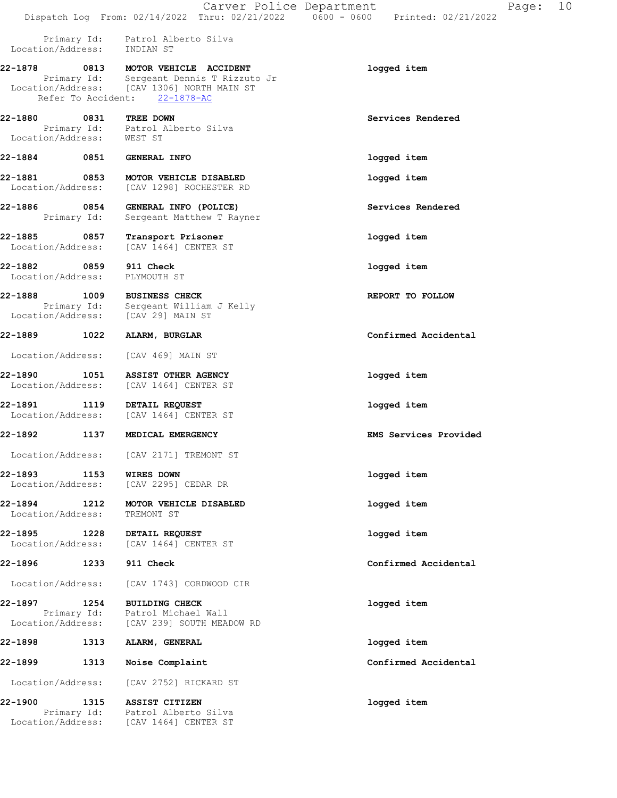|                                           |                     | Carver Police Department                                                                                                                  | Page: $10$<br>Dispatch Log From: 02/14/2022 Thru: 02/21/2022   0600 - 0600   Printed: 02/21/2022 |  |
|-------------------------------------------|---------------------|-------------------------------------------------------------------------------------------------------------------------------------------|--------------------------------------------------------------------------------------------------|--|
|                                           |                     | Primary Id: Patrol Alberto Silva<br>Location/Address: INDIAN ST                                                                           |                                                                                                  |  |
| 22-1878                                   | Refer To Accident:  | 0813 MOTOR VEHICLE ACCIDENT<br>Primary Id: Sergeant Dennis T Rizzuto Jr<br>Location/Address: [CAV 1306] NORTH MAIN ST<br>$22 - 1878 - AC$ | logged item                                                                                      |  |
| 22-1880 0831<br>Location/Address: WEST ST |                     | TREE DOWN<br>Primary Id: Patrol Alberto Silva                                                                                             | Services Rendered                                                                                |  |
| 22-1884 0851                              |                     | <b>GENERAL INFO</b>                                                                                                                       | logged item                                                                                      |  |
| 22-1881<br>Location/Address:              | 0853                | MOTOR VEHICLE DISABLED<br>[CAV 1298] ROCHESTER RD                                                                                         | logged item                                                                                      |  |
| 22-1886                                   | 0854<br>Primary Id: | GENERAL INFO (POLICE)<br>Sergeant Matthew T Rayner                                                                                        | Services Rendered                                                                                |  |
| 22-1885<br>Location/Address:              | 0857                | Transport Prisoner<br>[CAV 1464] CENTER ST                                                                                                | logged item                                                                                      |  |
| 22-1882 0859<br>Location/Address:         |                     | 911 Check<br>PLYMOUTH ST                                                                                                                  | logged item                                                                                      |  |
| 22-1888<br>Location/Address:              | 1009<br>Primary Id: | <b>BUSINESS CHECK</b><br>Sergeant William J Kelly<br>[CAV 29] MAIN ST                                                                     | REPORT TO FOLLOW                                                                                 |  |
| 22-1889 1022                              |                     | ALARM, BURGLAR                                                                                                                            | Confirmed Accidental                                                                             |  |
| Location/Address:                         |                     | [CAV 469] MAIN ST                                                                                                                         |                                                                                                  |  |
| 22-1890<br>Location/Address:              | 1051                | ASSIST OTHER AGENCY<br>[CAV 1464] CENTER ST                                                                                               | logged item                                                                                      |  |
| 22-1891 1119<br>Location/Address:         |                     | DETAIL REQUEST<br>[CAV 1464] CENTER ST                                                                                                    | logged item                                                                                      |  |
| 22-1892                                   | 1137                | MEDICAL EMERGENCY                                                                                                                         | <b>EMS Services Provided</b>                                                                     |  |
| Location/Address:                         |                     | [CAV 2171] TREMONT ST                                                                                                                     |                                                                                                  |  |
| 22-1893<br>Location/Address:              | 1153                | <b>WIRES DOWN</b><br>[CAV 2295] CEDAR DR                                                                                                  | logged item                                                                                      |  |
| 22-1894<br>Location/Address:              | 1212                | MOTOR VEHICLE DISABLED<br>TREMONT ST                                                                                                      | logged item                                                                                      |  |
| 22-1895<br>Location/Address:              | 1228                | DETAIL REQUEST<br>[CAV 1464] CENTER ST                                                                                                    | logged item                                                                                      |  |
| 22-1896                                   | 1233                | 911 Check                                                                                                                                 | Confirmed Accidental                                                                             |  |
| Location/Address:                         |                     | [CAV 1743] CORDWOOD CIR                                                                                                                   |                                                                                                  |  |
| 22-1897<br>Location/Address:              | 1254<br>Primary Id: | <b>BUILDING CHECK</b><br>Patrol Michael Wall<br>[CAV 239] SOUTH MEADOW RD                                                                 | logged item                                                                                      |  |
| 22-1898                                   | 1313                | ALARM, GENERAL                                                                                                                            | logged item                                                                                      |  |
| 22-1899                                   | 1313                | Noise Complaint                                                                                                                           | Confirmed Accidental                                                                             |  |
| Location/Address:                         |                     | [CAV 2752] RICKARD ST                                                                                                                     |                                                                                                  |  |
| 22-1900                                   | 1315<br>Primary Id: | ASSIST CITIZEN<br>Patrol Alberto Silva                                                                                                    | logged item                                                                                      |  |

Location/Address: [CAV 1464] CENTER ST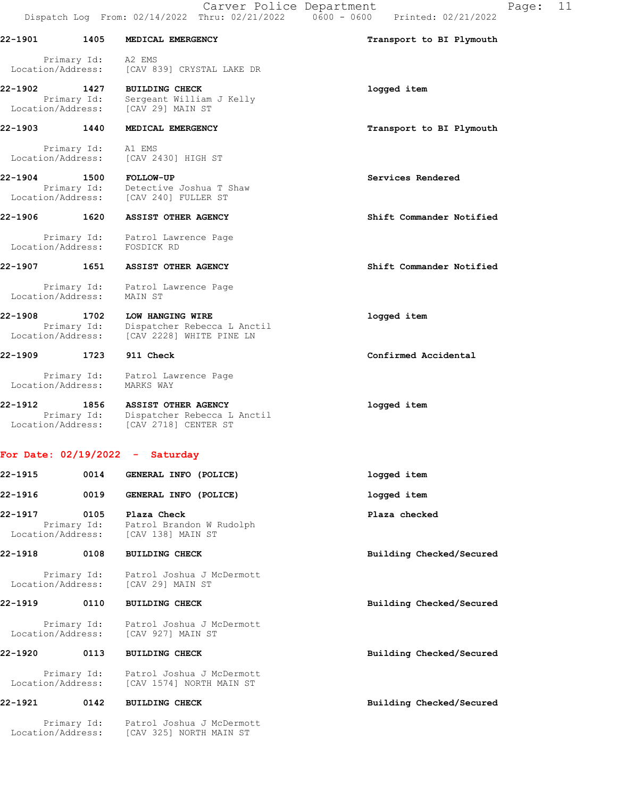Carver Police Department Fage: 11

|                                  |                     | Carvel FOIICE Department<br>Dispatch Log From: 02/14/2022 Thru: 02/21/2022 0600 - 0600 Printed: 02/21/2022 | r a                      |
|----------------------------------|---------------------|------------------------------------------------------------------------------------------------------------|--------------------------|
| 22-1901                          | 1405                | MEDICAL EMERGENCY                                                                                          | Transport to BI Plymouth |
| Location/Address:                | Primary Id: A2 EMS  | [CAV 839] CRYSTAL LAKE DR                                                                                  |                          |
| 22-1902<br>Location/Address:     | 1427<br>Primary Id: | <b>BUILDING CHECK</b><br>Sergeant William J Kelly<br>[CAV 29] MAIN ST                                      | logged item              |
| 22-1903                          | 1440                | MEDICAL EMERGENCY                                                                                          | Transport to BI Plymouth |
| Location/Address:                | Primary Id:         | A1 EMS<br>[CAV 2430] HIGH ST                                                                               |                          |
| 22-1904                          | 1500<br>Primary Id: | <b>FOLLOW-UP</b><br>Detective Joshua T Shaw<br>Location/Address: [CAV 240] FULLER ST                       | Services Rendered        |
| 22-1906 1620                     |                     | ASSIST OTHER AGENCY                                                                                        | Shift Commander Notified |
| Primary Id:<br>Location/Address: |                     | Patrol Lawrence Page<br>FOSDICK RD                                                                         |                          |
| 22-1907 1651                     |                     | ASSIST OTHER AGENCY                                                                                        | Shift Commander Notified |
| Location/Address:                | Primary Id:         | Patrol Lawrence Page<br>MAIN ST                                                                            |                          |
| 22-1908<br>Location/Address:     | 1702<br>Primary Id: | LOW HANGING WIRE<br>Dispatcher Rebecca L Anctil<br>[CAV 2228] WHITE PINE LN                                | logged item              |
| 22-1909                          | 1723                | 911 Check                                                                                                  | Confirmed Accidental     |
| Location/Address:                | Primary Id:         | Patrol Lawrence Page<br>MARKS WAY                                                                          |                          |
| 22-1912                          | 1856<br>Primary Id: | ASSIST OTHER AGENCY<br>Dispatcher Rebecca L Anctil<br>Location/Address: [CAV 2718] CENTER ST               | logged item              |
| For Date: 02/19/2022             |                     | Saturday<br><b>College</b>                                                                                 |                          |
| 22-1915                          | 0014                | GENERAL INFO (POLICE)                                                                                      | logged item              |
| 22-1916                          | 0019                | GENERAL INFO (POLICE)                                                                                      | logged item              |
| 22-1917<br>Location/Address:     | 0105<br>Primary Id: | Plaza Check<br>Patrol Brandon W Rudolph<br>[CAV 138] MAIN ST                                               | Plaza checked            |
| 22-1918                          | 0108                | <b>BUILDING CHECK</b>                                                                                      | Building Checked/Secured |
| Location/Address:                | Primary Id:         | Patrol Joshua J McDermott<br>[CAV 29] MAIN ST                                                              |                          |
| 22-1919                          | 0110                | <b>BUILDING CHECK</b>                                                                                      | Building Checked/Secured |
| Location/Address:                | Primary Id:         | Patrol Joshua J McDermott<br>[CAV 927] MAIN ST                                                             |                          |
| 22-1920                          | 0113                | <b>BUILDING CHECK</b>                                                                                      | Building Checked/Secured |

 Primary Id: Patrol Joshua J McDermott Location/Address: [CAV 1574] NORTH MAIN ST

22-1921 0142 BUILDING CHECK Building Checked/Secured

 Primary Id: Patrol Joshua J McDermott Location/Address: [CAV 325] NORTH MAIN ST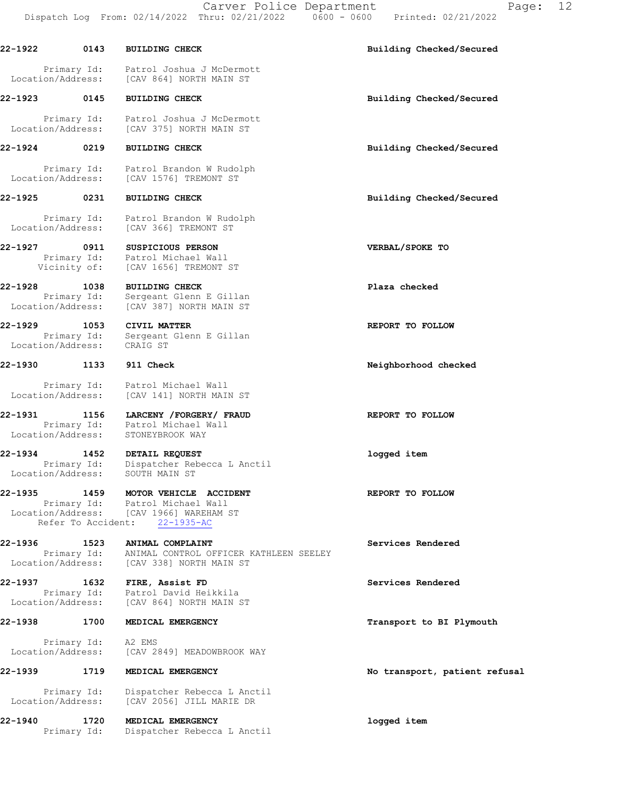Carver Police Department Fage: 12 Dispatch Log From: 02/14/2022 Thru: 02/21/2022 0600 - 0600 Printed: 02/21/2022

22-1922 0143 BUILDING CHECK Building Checked/Secured Primary Id: Patrol Joshua J McDermott Location/Address: [CAV 864] NORTH MAIN ST 22-1923 0145 BUILDING CHECK Building Checked/Secured Primary Id: Patrol Joshua J McDermott Location/Address: [CAV 375] NORTH MAIN ST 22-1924 0219 BUILDING CHECK Building Checked/Secured Primary Id: Patrol Brandon W Rudolph Location/Address: [CAV 1576] TREMONT ST 22-1925 0231 BUILDING CHECK Building Checked/Secured Primary Id: Patrol Brandon W Rudolph Location/Address: [CAV 366] TREMONT ST 22-1927 0911 SUSPICIOUS PERSON VERBAL/SPOKE TO Primary Id: Patrol Michael Wall Vicinity of: [CAV 1656] TREMONT ST 22-1928 1038 BUILDING CHECK Plaza checked Primary Id: Sergeant Glenn E Gillan Location/Address: [CAV 387] NORTH MAIN ST 22-1929 1053 CIVIL MATTER **REPORT TO FOLLOW**  Primary Id: Sergeant Glenn E Gillan Location/Address: CRAIG ST 22-1930 1133 911 Check Neighborhood checked Primary Id: Patrol Michael Wall Location/Address: [CAV 141] NORTH MAIN ST 22-1931 1156 LARCENY /FORGERY/ FRAUD REPORT TO FOLLOW Primary Id: Patrol Michael Wall Location/Address: STONEYBROOK WAY 22-1934 1452 DETAIL REQUEST logged item Primary Id: Dispatcher Rebecca L Anctil Location/Address: SOUTH MAIN ST 22-1935 1459 MOTOR VEHICLE ACCIDENT REPORT TO FOLLOW Primary Id: Patrol Michael Wall Location/Address: [CAV 1966] WAREHAM ST Refer To Accident: 22-1935-AC 22-1936 1523 ANIMAL COMPLAINT Services Rendered Primary Id: ANIMAL CONTROL OFFICER KATHLEEN SEELEY Location/Address: [CAV 338] NORTH MAIN ST 22-1937 1632 FIRE, Assist FD Services Rendered Primary Id: Patrol David Heikkila Location/Address: [CAV 864] NORTH MAIN ST 22-1938 1700 MEDICAL EMERGENCY 1988 1999 Transport to BI Plymouth Primary Id: A2 EMS Location/Address: [CAV 2849] MEADOWBROOK WAY 22-1939 1719 MEDICAL EMERGENCY 1999 No transport, patient refusal Primary Id: Dispatcher Rebecca L Anctil Location/Address: [CAV 2056] JILL MARIE DR 22-1940 1720 MEDICAL EMERGENCY logged item Primary Id: Dispatcher Rebecca L Anctil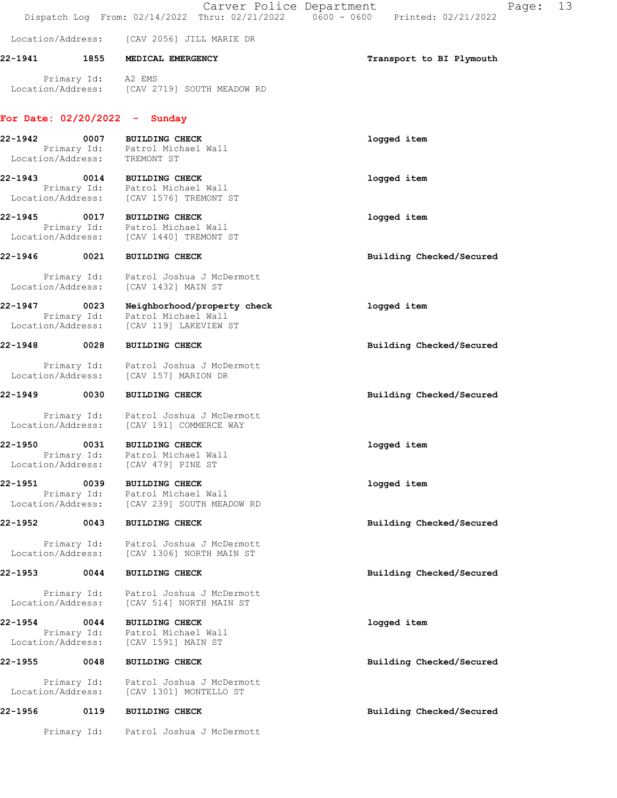|                              |                                  |                                                                                                     | Page:<br>Carver Police Department<br>Dispatch Log From: 02/14/2022 Thru: 02/21/2022 0600 - 0600 Printed: 02/21/2022 | 13 |
|------------------------------|----------------------------------|-----------------------------------------------------------------------------------------------------|---------------------------------------------------------------------------------------------------------------------|----|
|                              | Location/Address:                | [CAV 2056] JILL MARIE DR                                                                            |                                                                                                                     |    |
| 22-1941                      |                                  | 1855 MEDICAL EMERGENCY                                                                              | Transport to BI Plymouth                                                                                            |    |
|                              |                                  | Primary Id: A2 EMS<br>Location/Address: [CAV 2719] SOUTH MEADOW RD                                  |                                                                                                                     |    |
|                              |                                  | For Date: $02/20/2022 -$ Sunday                                                                     |                                                                                                                     |    |
| 22-1942                      | 0007                             | <b>BUILDING CHECK</b><br>Primary Id: Patrol Michael Wall<br>Location/Address: TREMONT ST            | logged item                                                                                                         |    |
| 22-1943                      |                                  | 0014 BUILDING CHECK<br>Primary Id: Patrol Michael Wall<br>Location/Address: [CAV 1576] TREMONT ST   | logged item                                                                                                         |    |
| 22-1945                      | 0017                             | <b>BUILDING CHECK</b><br>Primary Id: Patrol Michael Wall<br>Location/Address: [CAV 1440] TREMONT ST | logged item                                                                                                         |    |
| 22-1946                      | 0021                             | <b>BUILDING CHECK</b>                                                                               | Building Checked/Secured                                                                                            |    |
|                              | Primary Id:<br>Location/Address: | Patrol Joshua J McDermott<br>[CAV 1432] MAIN ST                                                     |                                                                                                                     |    |
| 22-1947<br>Location/Address: | 0023                             | Neighborhood/property check<br>Primary Id: Patrol Michael Wall<br>[CAV 119] LAKEVIEW ST             | logged item                                                                                                         |    |
| 22-1948 0028                 |                                  | <b>BUILDING CHECK</b>                                                                               | Building Checked/Secured                                                                                            |    |
|                              |                                  | Primary Id: Patrol Joshua J McDermott<br>Location/Address: [CAV 157] MARION DR                      |                                                                                                                     |    |
| 22-1949                      | 0030                             | <b>BUILDING CHECK</b>                                                                               | Building Checked/Secured                                                                                            |    |
|                              |                                  | Primary Id: Patrol Joshua J McDermott<br>Location/Address: [CAV 191] COMMERCE WAY                   |                                                                                                                     |    |
| 22-1950<br>Location/Address: | 0031                             | <b>BUILDING CHECK</b><br>Primary Id: Patrol Michael Wall<br>[CAV 479] PINE ST                       | logged item                                                                                                         |    |
| 22-1951                      | 0039<br>Primary Id:              | <b>BUILDING CHECK</b><br>Patrol Michael Wall                                                        | logged item                                                                                                         |    |
|                              | Location/Address:                | [CAV 239] SOUTH MEADOW RD                                                                           |                                                                                                                     |    |
| 22-1952                      | 0043                             | <b>BUILDING CHECK</b>                                                                               | Building Checked/Secured                                                                                            |    |
|                              | Primary Id:<br>Location/Address: | Patrol Joshua J McDermott<br>[CAV 1306] NORTH MAIN ST                                               |                                                                                                                     |    |
| 22-1953                      | 0044                             | <b>BUILDING CHECK</b>                                                                               | Building Checked/Secured                                                                                            |    |
|                              | Primary Id:<br>Location/Address: | Patrol Joshua J McDermott<br>[CAV 514] NORTH MAIN ST                                                |                                                                                                                     |    |
| 22-1954                      | 0044<br>Location/Address:        | <b>BUILDING CHECK</b><br>Primary Id: Patrol Michael Wall<br>[CAV 1591] MAIN ST                      | logged item                                                                                                         |    |
| 22-1955                      | 0048                             | <b>BUILDING CHECK</b>                                                                               | Building Checked/Secured                                                                                            |    |
|                              | Primary Id:<br>Location/Address: | Patrol Joshua J McDermott<br>[CAV 1301] MONTELLO ST                                                 |                                                                                                                     |    |
| 22-1956                      | 0119                             | <b>BUILDING CHECK</b>                                                                               | Building Checked/Secured                                                                                            |    |
|                              |                                  | Primary Id: Patrol Joshua J McDermott                                                               |                                                                                                                     |    |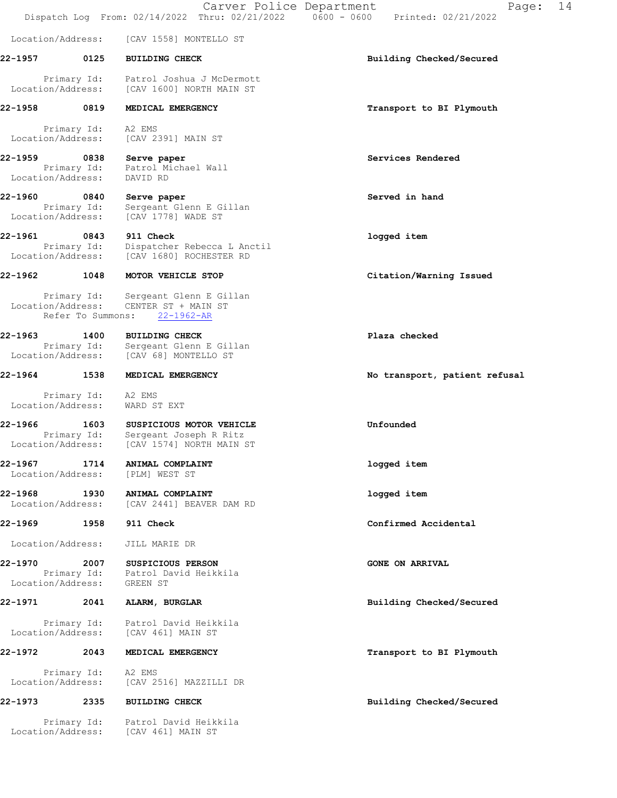Dispatch Log From: 02/14/2022 Thru: 02/21/2022 0600 - 0600 Printed: 02/21/2022 Location/Address: [CAV 1558] MONTELLO ST 22-1957 0125 BUILDING CHECK Building Checked/Secured Primary Id: Patrol Joshua J McDermott Location/Address: [CAV 1600] NORTH MAIN ST 22-1958 0819 MEDICAL EMERGENCY Transport to BI Plymouth Primary Id: A2 EMS Location/Address: [CAV 2391] MAIN ST 22-1959 0838 Serve paper Services Rendered Primary Id: Patrol Michael Wall Location/Address: DAVID RD 22-1960 0840 Serve paper Served in hand Primary Id: Sergeant Glenn E Gillan Location/Address: [CAV 1778] WADE ST 22-1961 0843 911 Check logged item Primary Id: Dispatcher Rebecca L Anctil Location/Address: [CAV 1680] ROCHESTER RD 22-1962 1048 MOTOR VEHICLE STOP **120 CLALL** Citation/Warning Issued Primary Id: Sergeant Glenn E Gillan Location/Address: CENTER ST + MAIN ST Refer To Summons: 22-1962-AR 22-1963 1400 BUILDING CHECK Plaza checked Primary Id: Sergeant Glenn E Gillan Location/Address: [CAV 68] MONTELLO ST 22-1964 1538 MEDICAL EMERGENCY 1988 10 No transport, patient refusal Primary Id: A2 EMS Location/Address: WARD ST EXT 22-1966 1603 SUSPICIOUS MOTOR VEHICLE 22-1966 Unfounded Primary Id: Sergeant Joseph R Ritz Location/Address: [CAV 1574] NORTH MAIN ST 22-1967 1714 ANIMAL COMPLAINT logged item Location/Address: [PLM] WEST ST 22-1968 1930 ANIMAL COMPLAINT logged item Location/Address: [CAV 2441] BEAVER DAM RD 22-1969 1958 911 Check Confirmed Accidental Location/Address: JILL MARIE DR 22-1970 2007 SUSPICIOUS PERSON GONE ON ARRIVAL Primary Id: Patrol David Heikkila Location/Address: GREEN ST 22-1971 2041 ALARM, BURGLAR BURGLAR Building Checked/Secured Primary Id: Patrol David Heikkila Location/Address: [CAV 461] MAIN ST 22-1972 2043 MEDICAL EMERGENCY Transport to BI Plymouth Primary Id: A2 EMS Location/Address: [CAV 2516] MAZZILLI DR 22-1973 2335 BUILDING CHECK Building Checked/Secured Primary Id: Patrol David Heikkila Location/Address: [CAV 461] MAIN ST

Carver Police Department Fage: 14